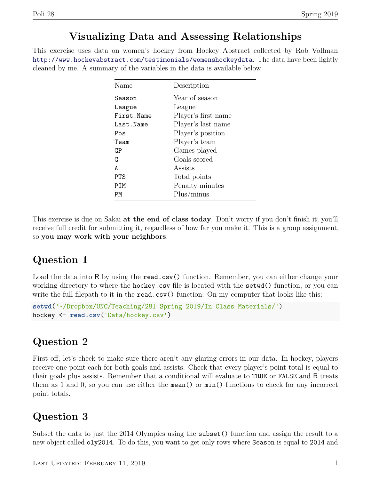#### **Visualizing Data and Assessing Relationships**

This exercise uses data on women's hockey from Hockey Abstract collected by Rob Vollman <http://www.hockeyabstract.com/testimonials/womenshockeydata>. The data have been lightly cleaned by me. A summary of the variables in the data is available below.

| Name       | Description         |
|------------|---------------------|
| Season     | Year of season      |
| League     | League              |
| First.Name | Player's first name |
| Last.Name  | Player's last name  |
| Pos        | Player's position   |
| Team       | Player's team       |
| GP         | Games played        |
| G          | Goals scored        |
| A          | Assists             |
| PTS        | Total points        |
| PIM        | Penalty minutes     |
| РM         | Plus/minus          |

This exercise is due on Sakai **at the end of class today**. Don't worry if you don't finish it; you'll receive full credit for submitting it, regardless of how far you make it. This is a group assignment, so **you may work with your neighbors**.

### **Question 1**

Load the data into R by using the read.csv() function. Remember, you can either change your working directory to where the hockey.csv file is located with the setwd() function, or you can write the full filepath to it in the read.csv() function. On my computer that looks like this:

```
setwd('~/Dropbox/UNC/Teaching/281 Spring 2019/In Class Materials/')
hockey <- read.csv('Data/hockey.csv')
```
### **Question 2**

First off, let's check to make sure there aren't any glaring errors in our data. In hockey, players receive one point each for both goals and assists. Check that every player's point total is equal to their goals plus assists. Remember that a conditional will evaluate to TRUE or FALSE and R treats them as 1 and 0, so you can use either the mean() or min() functions to check for any incorrect point totals.

### **Question 3**

Subset the data to just the 2014 Olympics using the subset() function and assign the result to a new object called oly2014. To do this, you want to get only rows where Season is equal to 2014 and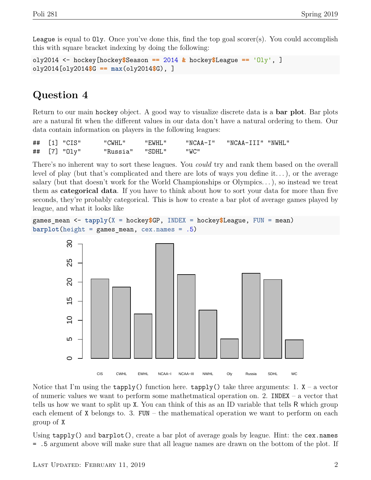League is equal to  $01y$ . Once you've done this, find the top goal scorer(s). You could accomplish this with square bracket indexing by doing the following:

```
oly2014 <- hockey[hockey$Season == 2014 & hockey$League == 'Oly', ]
oly2014[oly2014$G == max(oly2014$G), ]
```
# **Question 4**

Return to our main hockey object. A good way to visualize discrete data is a **bar plot**. Bar plots are a natural fit when the different values in our data don't have a natural ordering to them. Our data contain information on players in the following leagues:

| ## [1] "CIS" | "CWHL"          | "EWHL" |      | "NCAA-I" "NCAA-III" "NWHL" |  |
|--------------|-----------------|--------|------|----------------------------|--|
| ## [7] "01y" | "Russia" "SDHL" |        | "WC" |                            |  |

There's no inherent way to sort these leagues. You *could* try and rank them based on the overall level of play (but that's complicated and there are lots of ways you define it...), or the average salary (but that doesn't work for the World Championships or Olympics. . . ), so instead we treat them as **categorical data**. If you have to think about how to sort your data for more than five seconds, they're probably categorical. This is how to create a bar plot of average games played by league, and what it looks like

```
games_mean <- tapply(X = hockey$GP, INDEX = hockey$League, FUN = mean)
barplot(height = games_mean, cex.names = .5)
```


Notice that I'm using the  $\text{tapply}()$  function here.  $\text{tapply}()$  take three arguments: 1.  $X - a$  vector of numeric values we want to perform some mathetmatical operation on. 2. INDEX – a vector that tells us how we want to split up X. You can think of this as an ID variable that tells R which group each element of  $X$  belongs to. 3. FUN – the mathematical operation we want to perform on each group of X

Using tapply() and barplot(), create a bar plot of average goals by league. Hint: the cex.names = .5 argument above will make sure that all league names are drawn on the bottom of the plot. If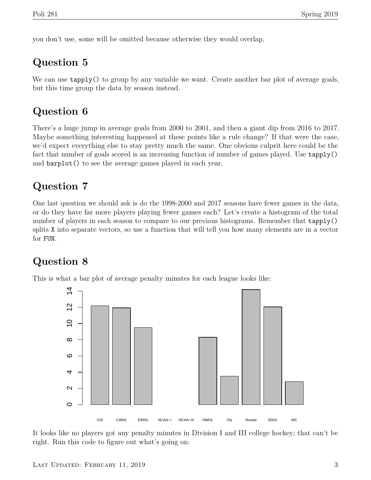you don't use, some will be omitted because otherwise they would overlap.

# **Question 5**

We can use **tapply()** to group by any variable we want. Create another bar plot of average goals, but this time group the data by season instead.

# **Question 6**

There's a huge jump in average goals from 2000 to 2001, and then a giant dip from 2016 to 2017. Maybe something interesting happened at these points like a rule change? If that were the case, we'd expect everything else to stay pretty much the same. One obvious culprit here could be the fact that number of goals scored is an increasing function of number of games played. Use tapply() and barplot() to see the average games played in each year.

# **Question 7**

One last question we should ask is do the 1998-2000 and 2017 seasons have fewer games in the data, or do they have far more players playing fewer games each? Let's create a histogram of the total number of players in each season to compare to our previous histograms. Remember that  $\text{tapply}()$ splits X into separate vectors, so use a function that will tell you how many elements are in a vector for FUN.

# **Question 8**

This is what a bar plot of average penalty minutes for each league looks like:



It looks like no players got any penalty minutes in Division I and III college hockey; that can't be right. Run this code to figure out what's going on: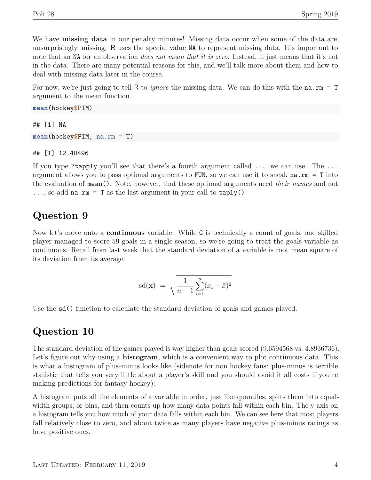We have **missing data** in our penalty minutes! Missing data occur when some of the data are, unsurprisingly, missing. R uses the special value NA to represent missing data. It's important to note that an NA for an observation *does not mean that it is zero*. Instead, it just means that it's not in the data. There are many potential reasons for this, and we'll talk more about them and how to deal with missing data later in the course.

For now, we're just going to tell R to *ignore* the missing data. We can do this with the na.rm = T argument to the mean function.

## [1] NA **mean**(hockey**\$**PIM, na.rm = T)

## [1] 12.40496

**mean**(hockey**\$**PIM)

If you type ?tapply you'll see that there's a fourth argument called ... we can use. The ... argument allows you to pass optional arguments to FUN, so we can use it to sneak  $na.rm = T$  into the evaluation of mean(). Note, however, that these optional arguments need *their names* and not  $\ldots$ , so add na.rm = T as the last argument in your call to  $\tanh(y)$ 

#### **Question 9**

Now let's move onto a **continuous** variable. While G is technically a count of goals, one skilled player managed to score 59 goals in a single season, so we're going to treat the goals variable as continuous. Recall from last week that the standard deviation of a variable is root mean square of its deviation from its average:

$$
sd(\mathbf{x}) = \sqrt{\frac{1}{n-1} \sum_{i=1}^{n} (x_i - \bar{x})^2}
$$

Use the sd() function to calculate the standard deviation of goals and games played.

#### **Question 10**

The standard deviation of the games played is way higher than goals scored (9.6594568 vs. 4.8936736). Let's figure out why using a **histogram**, which is a convenient way to plot continuous data. This is what a histogram of plus-minus looks like (sidenote for non hockey fans: plus-minus is terrible statistic that tells you very little about a player's skill and you should avoid it all costs if you're making predictions for fantasy hockey):

A histogram puts all the elements of a variable in order, just like quantiles, splits them into equalwidth groups, or bins, and then counts up how many data points fall within each bin. The y axis on a histogram tells you how much of your data falls within each bin. We can see here that most players fall relatively close to zero, and about twice as many players have negative plus-minus ratings as have positive ones.